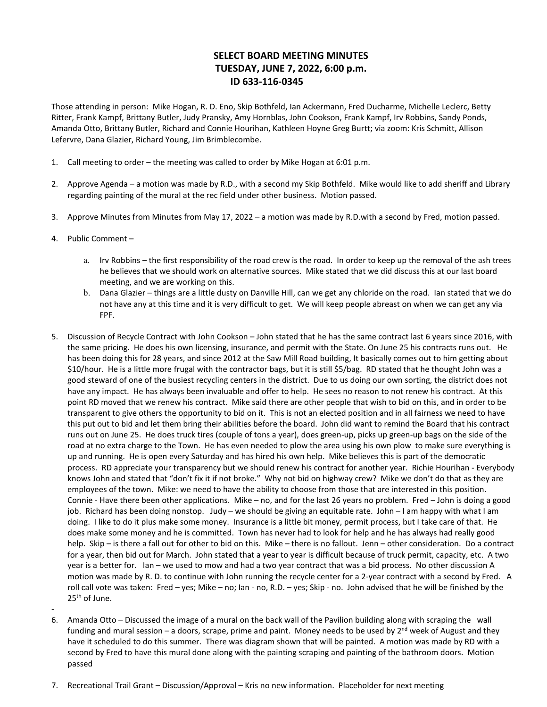# **SELECT BOARD MEETING MINUTES TUESDAY, JUNE 7, 2022, 6:00 p.m. ID 633-116-0345**

Those attending in person: Mike Hogan, R. D. Eno, Skip Bothfeld, Ian Ackermann, Fred Ducharme, Michelle Leclerc, Betty Ritter, Frank Kampf, Brittany Butler, Judy Pransky, Amy Hornblas, John Cookson, Frank Kampf, Irv Robbins, Sandy Ponds, Amanda Otto, Brittany Butler, Richard and Connie Hourihan, Kathleen Hoyne Greg Burtt; via zoom: Kris Schmitt, Allison Lefervre, Dana Glazier, Richard Young, Jim Brimblecombe.

- 1. Call meeting to order the meeting was called to order by Mike Hogan at 6:01 p.m.
- 2. Approve Agenda a motion was made by R.D., with a second my Skip Bothfeld. Mike would like to add sheriff and Library regarding painting of the mural at the rec field under other business. Motion passed.
- 3. Approve Minutes from Minutes from May 17, 2022 a motion was made by R.D.with a second by Fred, motion passed.
- 4. Public Comment
	- a. Irv Robbins the first responsibility of the road crew is the road. In order to keep up the removal of the ash trees he believes that we should work on alternative sources. Mike stated that we did discuss this at our last board meeting, and we are working on this.
	- b. Dana Glazier things are a little dusty on Danville Hill, can we get any chloride on the road. Ian stated that we do not have any at this time and it is very difficult to get. We will keep people abreast on when we can get any via FPF.
- 5. Discussion of Recycle Contract with John Cookson John stated that he has the same contract last 6 years since 2016, with the same pricing. He does his own licensing, insurance, and permit with the State. On June 25 his contracts runs out. He has been doing this for 28 years, and since 2012 at the Saw Mill Road building, It basically comes out to him getting about \$10/hour. He is a little more frugal with the contractor bags, but it is still \$5/bag. RD stated that he thought John was a good steward of one of the busiest recycling centers in the district. Due to us doing our own sorting, the district does not have any impact. He has always been invaluable and offer to help. He sees no reason to not renew his contract. At this point RD moved that we renew his contract. Mike said there are other people that wish to bid on this, and in order to be transparent to give others the opportunity to bid on it. This is not an elected position and in all fairness we need to have this put out to bid and let them bring their abilities before the board. John did want to remind the Board that his contract runs out on June 25. He does truck tires (couple of tons a year), does green-up, picks up green-up bags on the side of the road at no extra charge to the Town. He has even needed to plow the area using his own plow to make sure everything is up and running. He is open every Saturday and has hired his own help. Mike believes this is part of the democratic process. RD appreciate your transparency but we should renew his contract for another year. Richie Hourihan - Everybody knows John and stated that "don't fix it if not broke." Why not bid on highway crew? Mike we don't do that as they are employees of the town. Mike: we need to have the ability to choose from those that are interested in this position. Connie - Have there been other applications. Mike – no, and for the last 26 years no problem. Fred – John is doing a good job. Richard has been doing nonstop. Judy – we should be giving an equitable rate. John – I am happy with what I am doing. I like to do it plus make some money. Insurance is a little bit money, permit process, but I take care of that. He does make some money and he is committed. Town has never had to look for help and he has always had really good help. Skip – is there a fall out for other to bid on this. Mike – there is no fallout. Jenn – other consideration. Do a contract for a year, then bid out for March. John stated that a year to year is difficult because of truck permit, capacity, etc. A two year is a better for. Ian – we used to mow and had a two year contract that was a bid process. No other discussion A motion was made by R. D. to continue with John running the recycle center for a 2-year contract with a second by Fred. A roll call vote was taken: Fred – yes; Mike – no; Ian - no, R.D. – yes; Skip - no. John advised that he will be finished by the 25<sup>th</sup> of June. -
- 6. Amanda Otto Discussed the image of a mural on the back wall of the Pavilion building along with scraping the wall funding and mural session – a doors, scrape, prime and paint. Money needs to be used by  $2^{nd}$  week of August and they have it scheduled to do this summer. There was diagram shown that will be painted. A motion was made by RD with a second by Fred to have this mural done along with the painting scraping and painting of the bathroom doors. Motion passed
- 7. Recreational Trail Grant Discussion/Approval Kris no new information. Placeholder for next meeting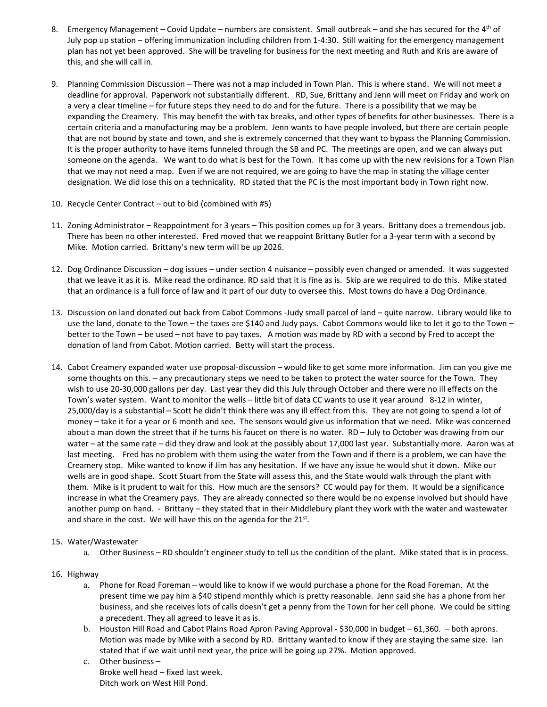- 8. Emergency Management Covid Update numbers are consistent. Small outbreak and she has secured for the 4<sup>th</sup> of July pop up station – offering immunization including children from 1-4:30. Still waiting for the emergency management plan has not yet been approved. She will be traveling for business for the next meeting and Ruth and Kris are aware of this, and she will call in.
- 9. Planning Commission Discussion There was not a map included in Town Plan. This is where stand. We will not meet a deadline for approval. Paperwork not substantially different. RD, Sue, Brittany and Jenn will meet on Friday and work on a very a clear timeline – for future steps they need to do and for the future. There is a possibility that we may be expanding the Creamery. This may benefit the with tax breaks, and other types of benefits for other businesses. There is a certain criteria and a manufacturing may be a problem. Jenn wants to have people involved, but there are certain people that are not bound by state and town, and she is extremely concerned that they want to bypass the Planning Commission. It is the proper authority to have items funneled through the SB and PC. The meetings are open, and we can always put someone on the agenda. We want to do what is best for the Town. It has come up with the new revisions for a Town Plan that we may not need a map. Even if we are not required, we are going to have the map in stating the village center designation. We did lose this on a technicality. RD stated that the PC is the most important body in Town right now.
- 10. Recycle Center Contract out to bid (combined with #5)
- 11. Zoning Administrator Reappointment for 3 years This position comes up for 3 years. Brittany does a tremendous job. There has been no other interested. Fred moved that we reappoint Brittany Butler for a 3-year term with a second by Mike. Motion carried. Brittany's new term will be up 2026.
- 12. Dog Ordinance Discussion dog issues under section 4 nuisance possibly even changed or amended. It was suggested that we leave it as it is. Mike read the ordinance. RD said that it is fine as is. Skip are we required to do this. Mike stated that an ordinance is a full force of law and it part of our duty to oversee this. Most towns do have a Dog Ordinance.
- 13. Discussion on land donated out back from Cabot Commons -Judy small parcel of land quite narrow. Library would like to use the land, donate to the Town – the taxes are \$140 and Judy pays. Cabot Commons would like to let it go to the Town – better to the Town – be used – not have to pay taxes. A motion was made by RD with a second by Fred to accept the donation of land from Cabot. Motion carried. Betty will start the process.
- 14. Cabot Creamery expanded water use proposal-discussion would like to get some more information. Jim can you give me some thoughts on this. – any precautionary steps we need to be taken to protect the water source for the Town. They wish to use 20-30,000 gallons per day. Last year they did this July through October and there were no ill effects on the Town's water system. Want to monitor the wells – little bit of data CC wants to use it year around 8-12 in winter, 25,000/day is a substantial – Scott he didn't think there was any ill effect from this. They are not going to spend a lot of money – take it for a year or 6 month and see. The sensors would give us information that we need. Mike was concerned about a man down the street that if he turns his faucet on there is no water. RD – July to October was drawing from our water – at the same rate – did they draw and look at the possibly about 17,000 last year. Substantially more. Aaron was at last meeting. Fred has no problem with them using the water from the Town and if there is a problem, we can have the Creamery stop. Mike wanted to know if Jim has any hesitation. If we have any issue he would shut it down. Mike our wells are in good shape. Scott Stuart from the State will assess this, and the State would walk through the plant with them. Mike is it prudent to wait for this. How much are the sensors? CC would pay for them. It would be a significance increase in what the Creamery pays. They are already connected so there would be no expense involved but should have another pump on hand. - Brittany – they stated that in their Middlebury plant they work with the water and wastewater and share in the cost. We will have this on the agenda for the 21<sup>st</sup>.

### 15. Water/Wastewater

a. Other Business – RD shouldn't engineer study to tell us the condition of the plant. Mike stated that is in process.

## 16. Highway

- a. Phone for Road Foreman would like to know if we would purchase a phone for the Road Foreman. At the present time we pay him a \$40 stipend monthly which is pretty reasonable. Jenn said she has a phone from her business, and she receives lots of calls doesn't get a penny from the Town for her cell phone. We could be sitting a precedent. They all agreed to leave it as is.
- b. Houston Hill Road and Cabot Plains Road Apron Paving Approval \$30,000 in budget 61,360. both aprons. Motion was made by Mike with a second by RD. Brittany wanted to know if they are staying the same size. Ian stated that if we wait until next year, the price will be going up 27%. Motion approved.
- c. Other business Broke well head – fixed last week. Ditch work on West Hill Pond.